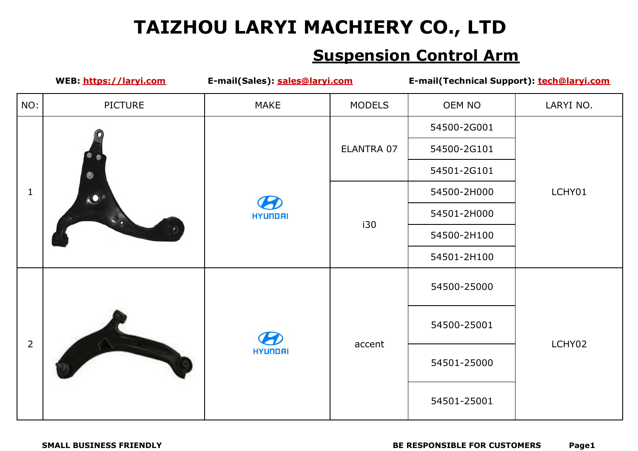|                | WEB: https://laryi.com | E-mail(Sales): sales@laryi.com        |               | E-mail(Technical Support): tech@laryi.com |           |
|----------------|------------------------|---------------------------------------|---------------|-------------------------------------------|-----------|
| NO:            | <b>PICTURE</b>         | <b>MAKE</b>                           | <b>MODELS</b> | OEM NO                                    | LARYI NO. |
|                |                        |                                       |               | 54500-2G001                               |           |
|                |                        |                                       | ELANTRA 07    | 54500-2G101                               |           |
|                |                        |                                       |               | 54501-2G101                               |           |
| $\mathbf{1}$   | $\mathbf{C}$           | $\boldsymbol{K}$                      |               | 54500-2H000                               | LCHY01    |
|                |                        | <b>HYUNDAI</b>                        | i30           | 54501-2H000                               |           |
|                |                        |                                       |               | 54500-2H100                               |           |
|                |                        |                                       |               | 54501-2H100                               |           |
|                |                        | $\boldsymbol{\mathcal{B}}$<br>HYUNDAI | accent        | 54500-25000                               | LCHY02    |
|                |                        |                                       |               | 54500-25001                               |           |
| $\overline{2}$ |                        |                                       |               | 54501-25000                               |           |
|                |                        |                                       |               | 54501-25001                               |           |
|                |                        |                                       |               |                                           |           |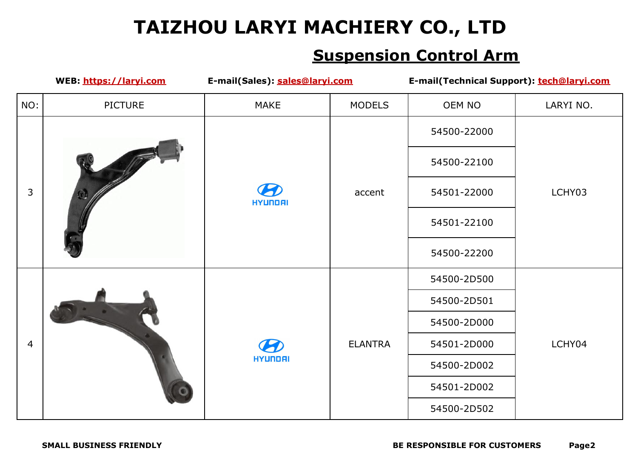|                | WEB: https://laryi.com | E-mail(Sales): sales@laryi.com               |                | E-mail(Technical Support): tech@laryi.com |           |
|----------------|------------------------|----------------------------------------------|----------------|-------------------------------------------|-----------|
| NO:            | <b>PICTURE</b>         | <b>MAKE</b>                                  | <b>MODELS</b>  | OEM NO                                    | LARYI NO. |
|                |                        |                                              |                | 54500-22000                               |           |
|                |                        |                                              |                | 54500-22100                               |           |
| 3              |                        | $\boldsymbol{\mathcal{P}}$<br><b>HYUNDAI</b> | accent         | 54501-22000                               | LCHY03    |
|                |                        |                                              |                | 54501-22100                               |           |
|                |                        |                                              |                | 54500-22200                               |           |
|                |                        |                                              | <b>ELANTRA</b> | 54500-2D500                               | LCHY04    |
|                |                        | $\boldsymbol{\Omega}$<br>HYUNDAI             |                | 54500-2D501                               |           |
|                |                        |                                              |                | 54500-2D000                               |           |
| $\overline{4}$ |                        |                                              |                | 54501-2D000                               |           |
|                |                        |                                              |                | 54500-2D002                               |           |
|                |                        |                                              |                | 54501-2D002                               |           |
|                |                        |                                              |                | 54500-2D502                               |           |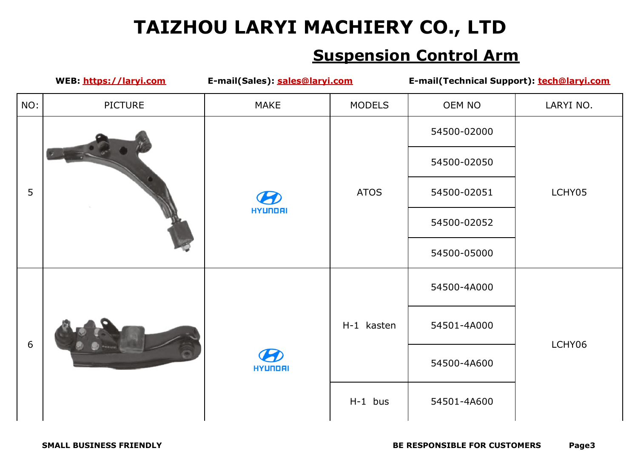|     | WEB: https://laryi.com | E-mail(Sales): sales@laryi.com |               | E-mail(Technical Support): tech@laryi.com |           |
|-----|------------------------|--------------------------------|---------------|-------------------------------------------|-----------|
| NO: | <b>PICTURE</b>         | <b>MAKE</b>                    | <b>MODELS</b> | OEM NO                                    | LARYI NO. |
| 5   |                        |                                |               | 54500-02000                               |           |
|     |                        |                                |               | 54500-02050                               |           |
|     |                        | $\boldsymbol{B}$               | <b>ATOS</b>   | 54500-02051                               | LCHY05    |
|     |                        | <b>HYUNDAI</b>                 |               | 54500-02052                               |           |
|     |                        |                                |               | 54500-05000                               |           |
|     |                        |                                |               | 54500-4A000                               |           |
|     |                        | 50<br><b>HYUNDAI</b>           | H-1 kasten    | 54501-4A000                               |           |
| 6   |                        |                                |               | 54500-4A600                               | LCHY06    |
|     |                        |                                | $H-1$ bus     | 54501-4A600                               |           |
|     |                        |                                |               |                                           |           |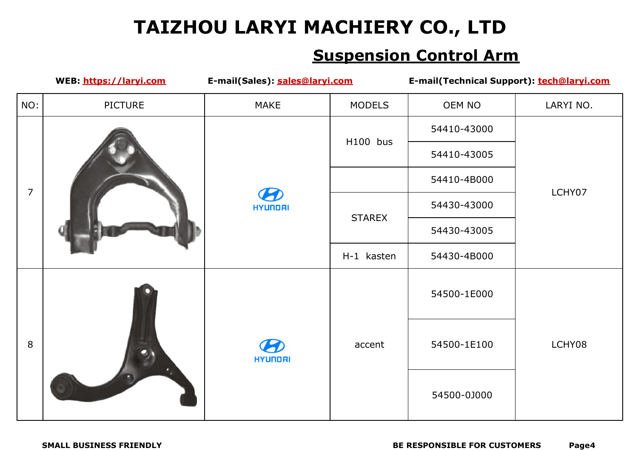|                | WEB: https://laryi.com | E-mail(Sales): sales@laryi.com        |               | E-mail(Technical Support): tech@laryi.com |           |
|----------------|------------------------|---------------------------------------|---------------|-------------------------------------------|-----------|
| NO:            | <b>PICTURE</b>         | <b>MAKE</b>                           | <b>MODELS</b> | OEM NO                                    | LARYI NO. |
|                |                        |                                       | H100 bus      | 54410-43000                               |           |
|                |                        |                                       |               | 54410-43005                               |           |
| $\overline{7}$ |                        |                                       |               | 54410-4B000                               |           |
|                |                        | $\boldsymbol{\mathcal{P}}$<br>HYUNDAI | <b>STAREX</b> | 54430-43000                               | LCHY07    |
|                |                        |                                       |               | 54430-43005                               |           |
|                |                        |                                       | H-1 kasten    | 54430-4B000                               |           |
|                |                        |                                       |               | 54500-1E000                               |           |
| 8              | $\bullet$              | 5<br>HYUNDAI                          | accent        | 54500-1E100                               | LCHY08    |
|                |                        |                                       |               | 54500-0J000                               |           |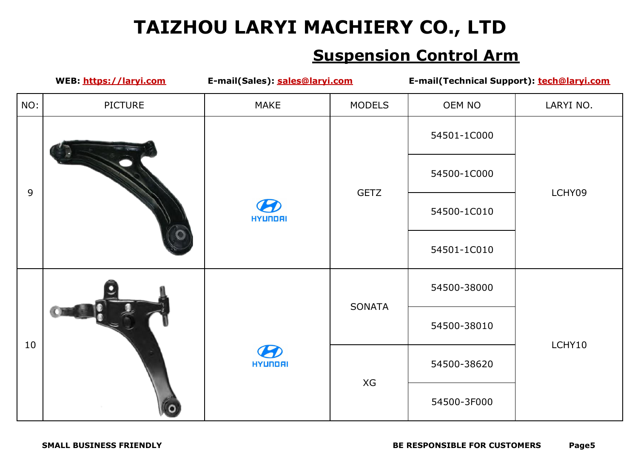|     | WEB: https://laryi.com | E-mail(Sales): sales@laryi.com |               | E-mail(Technical Support): tech@laryi.com |           |
|-----|------------------------|--------------------------------|---------------|-------------------------------------------|-----------|
| NO: | <b>PICTURE</b>         | <b>MAKE</b>                    | <b>MODELS</b> | OEM NO                                    | LARYI NO. |
|     |                        |                                |               | 54501-1C000                               |           |
|     |                        |                                | <b>GETZ</b>   | 54500-1C000                               | LCHY09    |
|     | 9                      | $\boldsymbol{B}$<br>HYUNDAI    |               | 54500-1C010                               |           |
|     |                        |                                |               | 54501-1C010                               |           |
|     |                        |                                | <b>SONATA</b> | 54500-38000                               |           |
|     |                        |                                |               | 54500-38010                               |           |
| 10  |                        | <b>HYUNDAI</b>                 |               | 54500-38620                               | LCHY10    |
|     |                        |                                | XG            | 54500-3F000                               |           |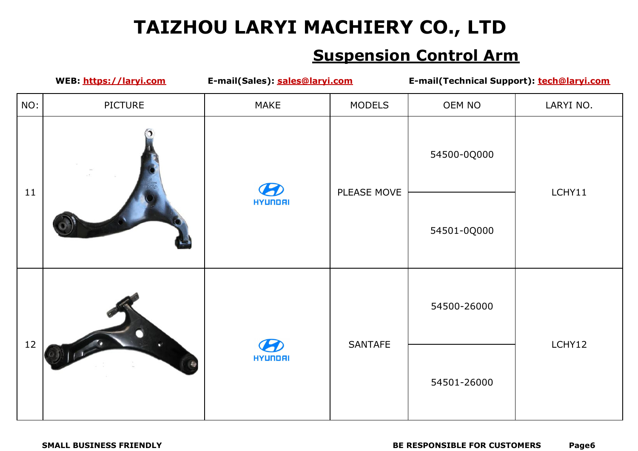|     | WEB: https://laryi.com | E-mail(Sales): sales@laryi.com |                | E-mail(Technical Support): tech@laryi.com |           |
|-----|------------------------|--------------------------------|----------------|-------------------------------------------|-----------|
| NO: | PICTURE                | <b>MAKE</b>                    | <b>MODELS</b>  | OEM NO                                    | LARYI NO. |
| 11  |                        | 5                              | PLEASE MOVE    | 54500-0Q000                               | LCHY11    |
|     |                        | <b>HYUNDAI</b>                 |                | 54501-0Q000                               |           |
| 12  |                        |                                | <b>SANTAFE</b> | 54500-26000                               | LCHY12    |
|     |                        | $\boldsymbol{B}$<br>HYUNDAI    |                | 54501-26000                               |           |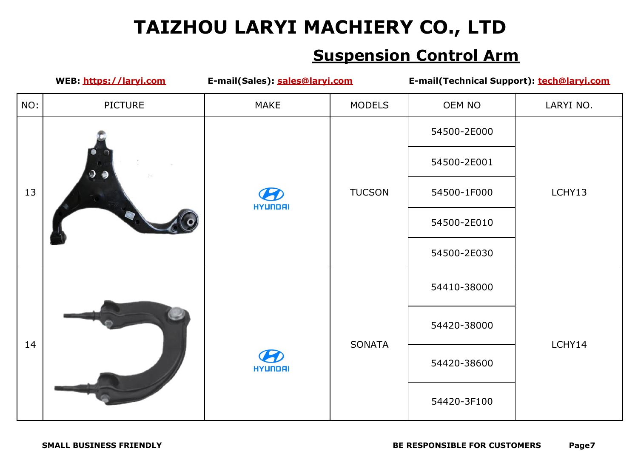|     | WEB: https://laryi.com | E-mail(Sales): sales@laryi.com               |               | E-mail(Technical Support): tech@laryi.com |           |
|-----|------------------------|----------------------------------------------|---------------|-------------------------------------------|-----------|
| NO: | <b>PICTURE</b>         | <b>MAKE</b>                                  | <b>MODELS</b> | OEM NO                                    | LARYI NO. |
|     |                        |                                              |               | 54500-2E000                               |           |
|     | $\bullet$              |                                              |               | 54500-2E001                               |           |
| 13  |                        | $\boldsymbol{\mathcal{P}}$                   | <b>TUCSON</b> | 54500-1F000                               | LCHY13    |
|     |                        | HYUNDAI                                      |               | 54500-2E010                               |           |
|     |                        |                                              |               | 54500-2E030                               |           |
|     |                        | $\boldsymbol{\mathcal{B}}$<br><b>HYUNDAI</b> | SONATA        | 54410-38000                               | LCHY14    |
|     |                        |                                              |               | 54420-38000                               |           |
| 14  |                        |                                              |               | 54420-38600                               |           |
|     |                        |                                              |               | 54420-3F100                               |           |
|     |                        |                                              |               |                                           |           |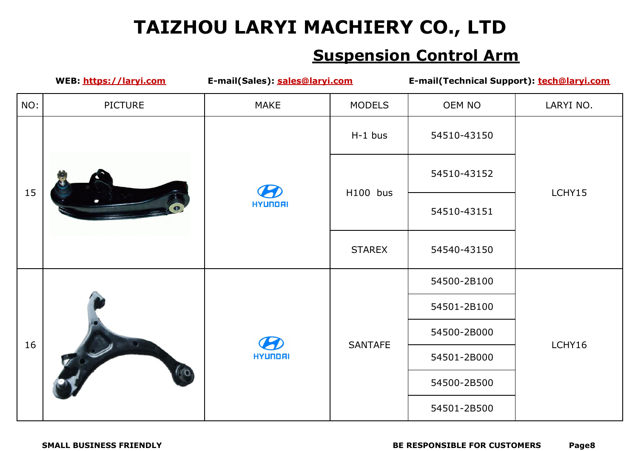|     | WEB: https://laryi.com | E-mail(Sales): sales@laryi.com |                | E-mail(Technical Support): tech@laryi.com |           |
|-----|------------------------|--------------------------------|----------------|-------------------------------------------|-----------|
| NO: | PICTURE                | <b>MAKE</b>                    | <b>MODELS</b>  | OEM NO                                    | LARYI NO. |
|     |                        |                                | $H-1$ bus      | 54510-43150                               |           |
|     |                        | $\boldsymbol{B}$               | H100 bus       | 54510-43152                               | LCHY15    |
| 15  |                        | HYUNDAI                        |                | 54510-43151                               |           |
|     |                        |                                | <b>STAREX</b>  | 54540-43150                               |           |
|     |                        | $\boldsymbol{B}$<br>HYUNDAI    | <b>SANTAFE</b> | 54500-2B100                               | LCHY16    |
|     |                        |                                |                | 54501-2B100                               |           |
| 16  | ГO                     |                                |                | 54500-2B000                               |           |
|     |                        |                                |                | 54501-2B000                               |           |
|     |                        |                                |                | 54500-2B500                               |           |
|     |                        |                                |                | 54501-2B500                               |           |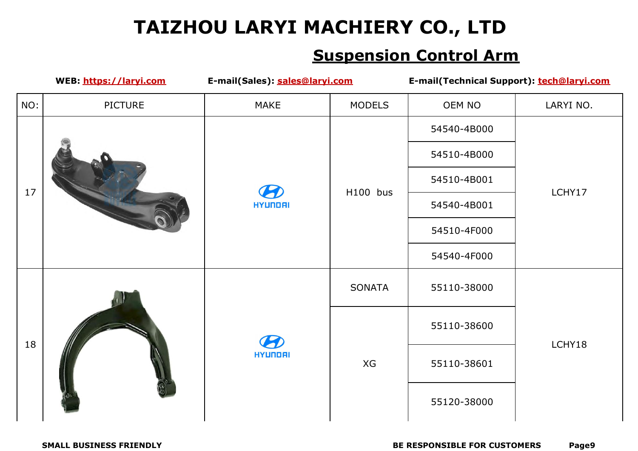|     | WEB: https://laryi.com | E-mail(Sales): sales@laryi.com |               | E-mail(Technical Support): tech@laryi.com |           |
|-----|------------------------|--------------------------------|---------------|-------------------------------------------|-----------|
| NO: | PICTURE                | <b>MAKE</b>                    | <b>MODELS</b> | OEM NO                                    | LARYI NO. |
|     |                        |                                |               | 54540-4B000                               |           |
|     |                        |                                |               | 54510-4B000                               | LCHY17    |
|     |                        | $\boldsymbol{\mathcal{B}}$     |               | 54510-4B001                               |           |
| 17  |                        | HYUNDAI                        | H100 bus      | 54540-4B001                               |           |
|     |                        |                                |               | 54510-4F000                               |           |
|     |                        |                                |               | 54540-4F000                               |           |
|     |                        |                                | SONATA        | 55110-38000                               |           |
|     |                        | 5<br><b>HYUNDAI</b>            | XG            | 55110-38600                               | LCHY18    |
| 18  |                        |                                |               | 55110-38601                               |           |
|     |                        |                                |               | 55120-38000                               |           |
|     |                        |                                |               |                                           |           |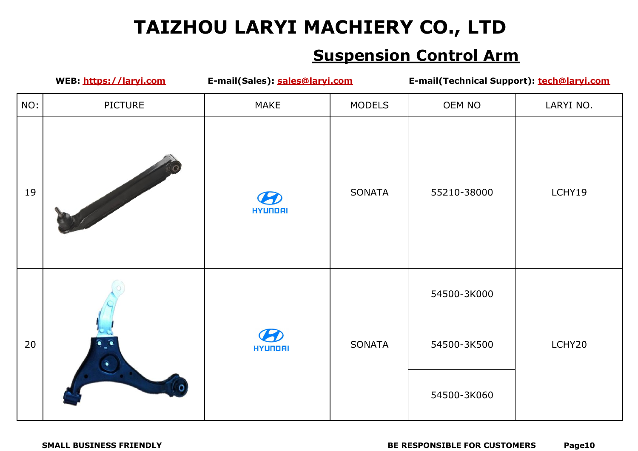|     | E-mail(Sales): sales@laryi.com<br>WEB: https://laryi.com |                                       | E-mail(Technical Support): tech@laryi.com |             |           |  |
|-----|----------------------------------------------------------|---------------------------------------|-------------------------------------------|-------------|-----------|--|
| NO: | <b>PICTURE</b>                                           | <b>MAKE</b>                           | <b>MODELS</b>                             | OEM NO      | LARYI NO. |  |
| 19  |                                                          | HYUNDAI                               | SONATA                                    | 55210-38000 | LCHY19    |  |
|     |                                                          |                                       |                                           | 54500-3K000 |           |  |
| 20  | $\bullet$                                                | $\boldsymbol{\mathcal{B}}$<br>HYUNDAI | SONATA                                    | 54500-3K500 | LCHY20    |  |
|     |                                                          |                                       |                                           | 54500-3K060 |           |  |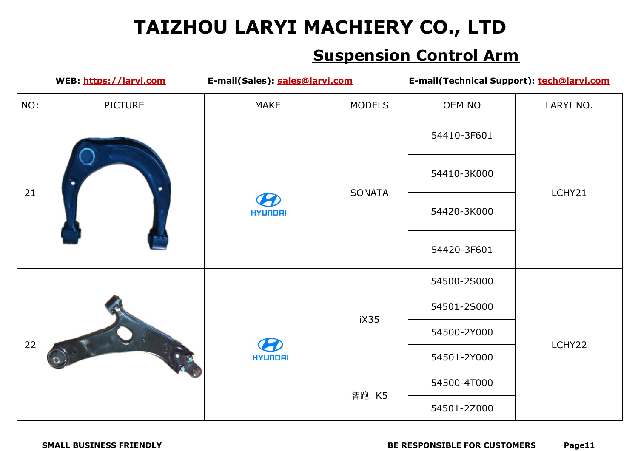|     | WEB: https://laryi.com | E-mail(Sales): sales@laryi.com               |               | E-mail(Technical Support): tech@laryi.com |           |
|-----|------------------------|----------------------------------------------|---------------|-------------------------------------------|-----------|
| NO: | <b>PICTURE</b>         | <b>MAKE</b>                                  | <b>MODELS</b> | OEM NO                                    | LARYI NO. |
| 21  |                        |                                              |               | 54410-3F601                               |           |
|     |                        |                                              | SONATA        | 54410-3K000                               | LCHY21    |
|     |                        | $\boldsymbol{\mathcal{B}}$<br><b>HYUNDAI</b> |               | 54420-3K000                               |           |
|     |                        |                                              |               | 54420-3F601                               |           |
|     |                        |                                              | iX35          | 54500-2S000                               | LCHY22    |
|     |                        | $\boldsymbol{B}$<br>HYUNDAI                  |               | 54501-2S000                               |           |
|     |                        |                                              |               | 54500-2Y000                               |           |
| 22  |                        |                                              |               | 54501-2Y000                               |           |
|     |                        |                                              |               | 54500-4T000                               |           |
|     |                        |                                              | 智跑 K5         | 54501-2Z000                               |           |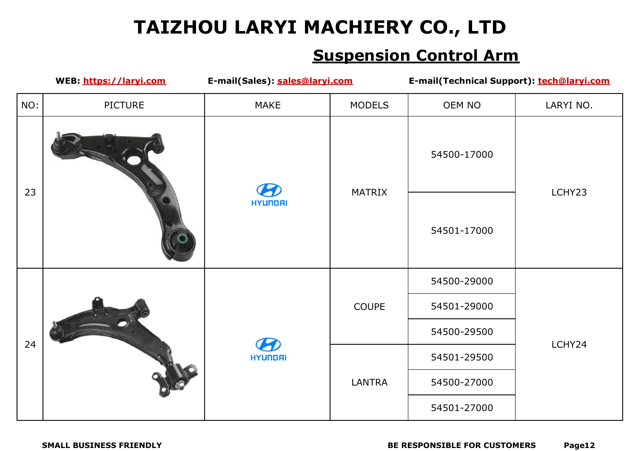|     | WEB: https://laryi.com | E-mail(Sales): sales@laryi.com           |               | E-mail(Technical Support): tech@laryi.com |           |
|-----|------------------------|------------------------------------------|---------------|-------------------------------------------|-----------|
| NO: | <b>PICTURE</b>         | <b>MAKE</b>                              | <b>MODELS</b> | OEM NO                                    | LARYI NO. |
| 23  |                        | $\boldsymbol{\mathcal{P}}$               | MATRIX        | 54500-17000                               | LCHY23    |
|     |                        | <b>HYUNDAI</b>                           |               | 54501-17000                               |           |
|     |                        |                                          | COUPE         | 54500-29000                               |           |
|     |                        | $\boldsymbol{\varPhi}$<br><b>HYUNDAI</b> |               | 54501-29000                               | LCHY24    |
| 24  |                        |                                          |               | 54500-29500                               |           |
|     |                        |                                          |               | 54501-29500                               |           |
|     |                        |                                          | LANTRA        | 54500-27000                               |           |
|     |                        |                                          |               | 54501-27000                               |           |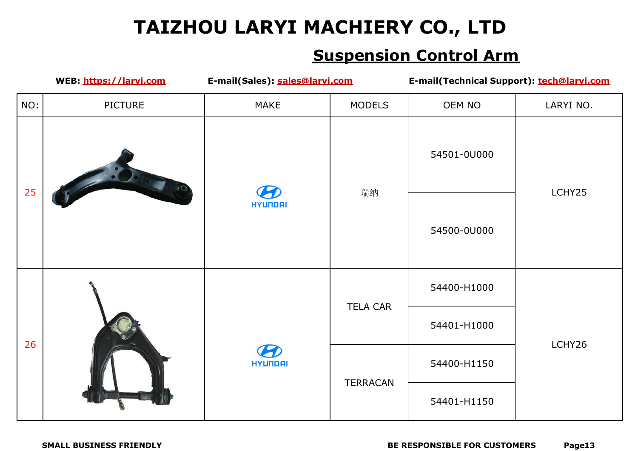| WEB: https://laryi.com |                | E-mail(Sales): sales@laryi.com |                 | E-mail(Technical Support): tech@laryi.com |           |
|------------------------|----------------|--------------------------------|-----------------|-------------------------------------------|-----------|
| NO:                    | <b>PICTURE</b> | <b>MAKE</b>                    | <b>MODELS</b>   | OEM NO                                    | LARYI NO. |
| 25                     |                | <b>HYUNDAI</b>                 | 瑞纳              | 54501-0U000                               | LCHY25    |
|                        |                |                                |                 | 54500-0U000                               |           |
| 26                     |                | 9<br>HYUNDAI                   | <b>TELA CAR</b> | 54400-H1000                               | LCHY26    |
|                        |                |                                |                 | 54401-H1000                               |           |
|                        |                |                                | TERRACAN        | 54400-H1150                               |           |
|                        |                |                                |                 | 54401-H1150                               |           |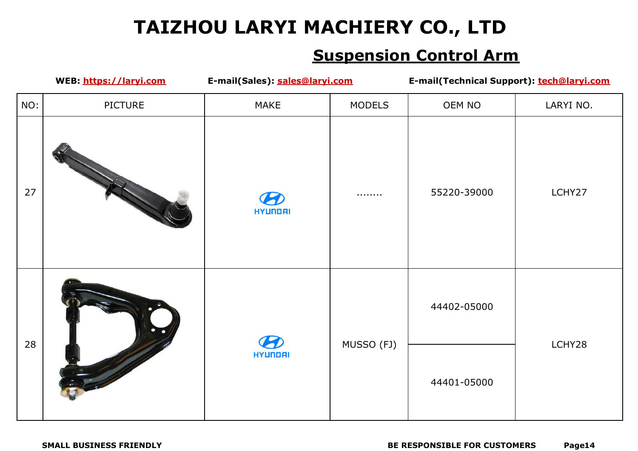| WEB: https://laryi.com |                     | E-mail(Sales): sales@laryi.com |               | E-mail(Technical Support): tech@laryi.com |           |
|------------------------|---------------------|--------------------------------|---------------|-------------------------------------------|-----------|
| NO:                    | <b>PICTURE</b>      | <b>MAKE</b>                    | <b>MODELS</b> | OEM NO                                    | LARYI NO. |
| 27                     |                     | 17<br><b>HYUNDAI</b>           | .             | 55220-39000                               | LCHY27    |
| 28                     | $\bullet$ $\bullet$ | 5<br><b>HYUNDAI</b>            | MUSSO (FJ)    | 44402-05000                               | LCHY28    |
|                        |                     |                                |               | 44401-05000                               |           |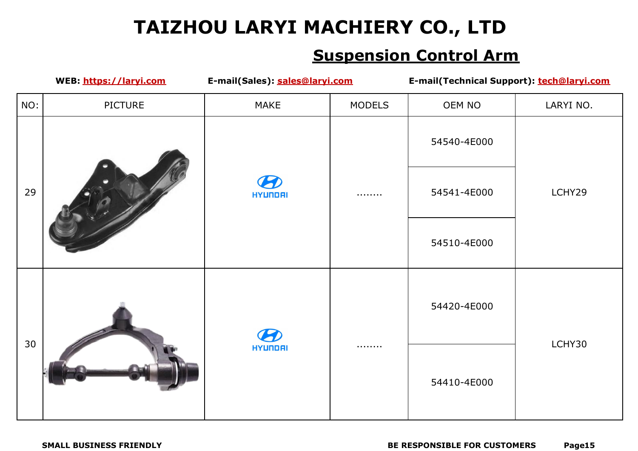|     | WEB: https://laryi.com | E-mail(Sales): sales@laryi.com |               | E-mail(Technical Support): tech@laryi.com |           |
|-----|------------------------|--------------------------------|---------------|-------------------------------------------|-----------|
| NO: | <b>PICTURE</b>         | <b>MAKE</b>                    | <b>MODELS</b> | OEM NO                                    | LARYI NO. |
| 29  |                        | HYUNDAI                        |               | 54540-4E000                               | LCHY29    |
|     |                        |                                |               | 54541-4E000                               |           |
|     |                        |                                |               | 54510-4E000                               |           |
| 30  |                        | <b>HYUNDAI</b>                 |               | 54420-4E000                               | LCHY30    |
|     |                        |                                |               | 54410-4E000                               |           |